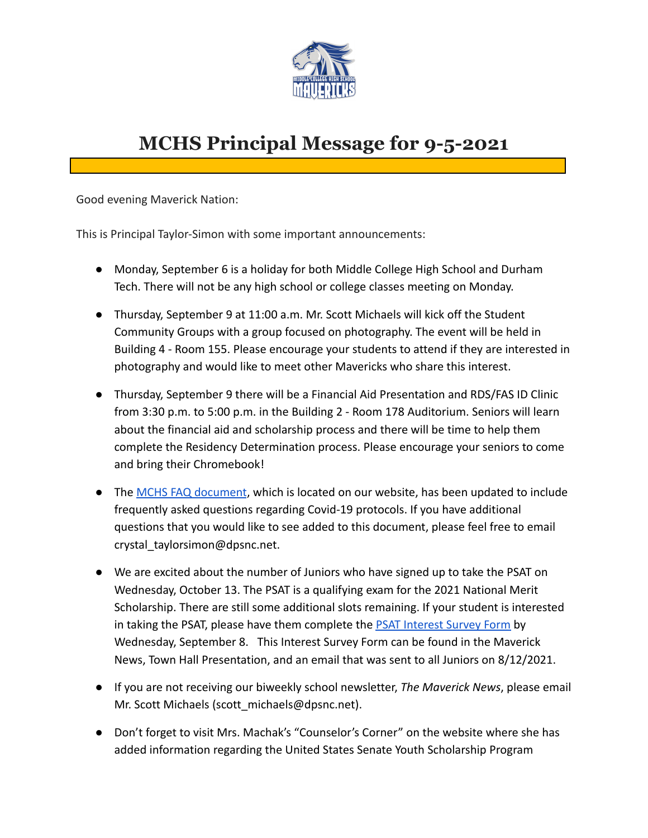

## **MCHS Principal Message for 9-5-2021**

Good evening Maverick Nation:

This is Principal Taylor-Simon with some important announcements:

- Monday, September 6 is a holiday for both Middle College High School and Durham Tech. There will not be any high school or college classes meeting on Monday.
- Thursday, September 9 at 11:00 a.m. Mr. Scott Michaels will kick off the Student Community Groups with a group focused on photography. The event will be held in Building 4 - Room 155. Please encourage your students to attend if they are interested in photography and would like to meet other Mavericks who share this interest.
- Thursday, September 9 there will be a Financial Aid Presentation and RDS/FAS ID Clinic from 3:30 p.m. to 5:00 p.m. in the Building 2 - Room 178 Auditorium. Seniors will learn about the financial aid and scholarship process and there will be time to help them complete the Residency Determination process. Please encourage your seniors to come and bring their Chromebook!
- The [MCHS FAQ document](https://docs.google.com/document/d/1JZSN5GHim-TbCnrS4QFMEwx7yfZ-c9eCvixnVI_kTT8/edit?usp=sharing), which is located on our website, has been updated to include frequently asked questions regarding Covid-19 protocols. If you have additional questions that you would like to see added to this document, please feel free to email crystal\_taylorsimon@dpsnc.net.
- We are excited about the number of Juniors who have signed up to take the PSAT on Wednesday, October 13. The PSAT is a qualifying exam for the 2021 National Merit Scholarship. There are still some additional slots remaining. If your student is interested in taking the PSAT, please have them complete the [PSAT Interest Survey Form](https://forms.gle/srF13EZNDnndDqhRA) by Wednesday, September 8. This Interest Survey Form can be found in the Maverick News, Town Hall Presentation, and an email that was sent to all Juniors on 8/12/2021.
- If you are not receiving our biweekly school newsletter, *The Maverick News*, please email Mr. Scott Michaels (scott\_michaels@dpsnc.net).
- Don't forget to visit Mrs. Machak's "Counselor's Corner" on the website where she has added information regarding the United States Senate Youth Scholarship Program